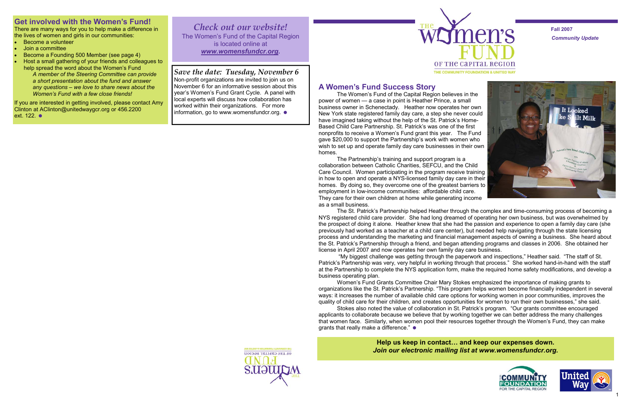*Community Update*  **Fall 2007** 







Non-profit organizations are invited to join us on November 6 for an informative session about this year's Women's Fund Grant Cycle. A panel with local experts will discuss how collaboration has worked within their organizations. For more information, go to www.womensfundcr.org.  $\bullet$ 



#### *Save the date: Tuesday, November 6*

*Check out our website!*  The Women's Fund of the Capital Region is located online at *www.womensfundcr.org.* 

# **Get involved with the Women's Fund!**

If you are interested in getting involved, please contact Amy Clinton at AClinton@unitedwaygcr.org or 456.2200 ext. 122. ●

There are many ways for you to help make a difference in the lives of women and girls in our communities:

- Become a volunteer
- Join a committee
- Become a Founding 500 Member (see page 4)
- Host a small gathering of your friends and colleagues to help spread the word about the Women's Fund
	- *A member of the Steering Committee can provide a short presentation about the fund and answer any questions – we love to share news about the Women's Fund with a few close friends!*

**Help us keep in contact… and keep our expenses down.**  *Join our electronic mailing list at www.womensfundcr.org.* 



# **A Women's Fund Success Story**

 The Women's Fund of the Capital Region believes in the power of women — a case in point is Heather Prince, a small business owner in Schenectady. Heather now operates her own New York state registered family day care, a step she never could have imagined taking without the help of the St. Patrick's Home-Based Child Care Partnership. St. Patrick's was one of the first nonprofits to receive a Women's Fund grant this year. The Fund gave \$20,000 to support the Partnership's work with women who wish to set up and operate family day care businesses in their own homes.

 The Partnership's training and support program is a collaboration between Catholic Charities, SEFCU, and the Child Care Council. Women participating in the program receive training in how to open and operate a NYS-licensed family day care in their homes. By doing so, they overcome one of the greatest barriers to employment in low-income communities: affordable child care. They care for their own children at home while generating income as a small business.

 The St. Patrick's Partnership helped Heather through the complex and time-consuming process of becoming a NYS registered child care provider. She had long dreamed of operating her own business, but was overwhelmed by the prospect of doing it alone. Heather knew that she had the passion and experience to open a family day care (she previously had worked as a teacher at a child care center), but needed help navigating through the state licensing process and understanding the marketing and financial management aspects of owning a business. She heard about the St. Patrick's Partnership through a friend, and began attending programs and classes in 2006. She obtained her license in April 2007 and now operates her own family day care business.

 "My biggest challenge was getting through the paperwork and inspections," Heather said. "The staff of St. Patrick's Partnership was very, very helpful in working through that process." She worked hand-in-hand with the staff at the Partnership to complete the NYS application form, make the required home safety modifications, and develop a business operating plan.

 Women's Fund Grants Committee Chair Mary Stokes emphasized the importance of making grants to organizations like the St. Patrick's Partnership. "This program helps women become financially independent in several ways: it increases the number of available child care options for working women in poor communities, improves the quality of child care for their children, and creates opportunities for women to run their own businesses," she said. Stokes also noted the value of collaboration in St. Patrick's program. "Our grants committee encouraged applicants to collaborate because we believe that by working together we can better address the many challenges that women face. Similarly, when women pool their resources together through the Women's Fund, they can make

grants that really make a difference."  $\bullet$